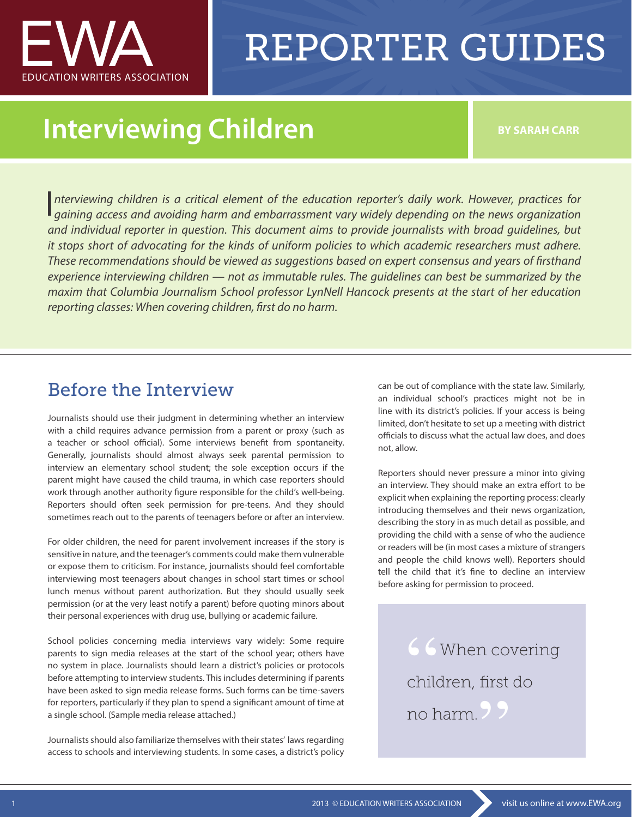

# REPORTER GUIDES

### **Interviewing Children BY SARAH CARR**

*nterviewing children is a critical element of the education reporter's daily work. However, practices for*  Interviewing children is a critical element of the education reporter's daily work. However, practices for *gaining access and avoiding harm and embarrassment vary widely depending on the news organization and individual reporter in question. This document aims to provide journalists with broad guidelines, but it stops short of advocating for the kinds of uniform policies to which academic researchers must adhere. These recommendations should be viewed as suggestions based on expert consensus and years of firsthand experience interviewing children — not as immutable rules. The guidelines can best be summarized by the maxim that Columbia Journalism School professor LynNell Hancock presents at the start of her education reporting classes: When covering children, first do no harm.*

#### Before the Interview

Journalists should use their judgment in determining whether an interview with a child requires advance permission from a parent or proxy (such as a teacher or school official). Some interviews benefit from spontaneity. Generally, journalists should almost always seek parental permission to interview an elementary school student; the sole exception occurs if the parent might have caused the child trauma, in which case reporters should work through another authority figure responsible for the child's well-being. Reporters should often seek permission for pre-teens. And they should sometimes reach out to the parents of teenagers before or after an interview.

For older children, the need for parent involvement increases if the story is sensitive in nature, and the teenager's comments could make them vulnerable or expose them to criticism. For instance, journalists should feel comfortable interviewing most teenagers about changes in school start times or school lunch menus without parent authorization. But they should usually seek permission (or at the very least notify a parent) before quoting minors about their personal experiences with drug use, bullying or academic failure.

School policies concerning media interviews vary widely: Some require parents to sign media releases at the start of the school year; others have no system in place. Journalists should learn a district's policies or protocols before attempting to interview students. This includes determining if parents have been asked to sign media release forms. Such forms can be time-savers for reporters, particularly if they plan to spend a significant amount of time at a single school. (Sample media release attached.)

Journalists should also familiarize themselves with their states' laws regarding access to schools and interviewing students. In some cases, a district's policy can be out of compliance with the state law. Similarly, an individual school's practices might not be in line with its district's policies. If your access is being limited, don't hesitate to set up a meeting with district officials to discuss what the actual law does, and does not, allow.

Reporters should never pressure a minor into giving an interview. They should make an extra effort to be explicit when explaining the reporting process: clearly introducing themselves and their news organization, describing the story in as much detail as possible, and providing the child with a sense of who the audience or readers will be (in most cases a mixture of strangers and people the child knows well). Reporters should tell the child that it's fine to decline an interview before asking for permission to proceed.

> 66 When covering children, first do no harm. **"**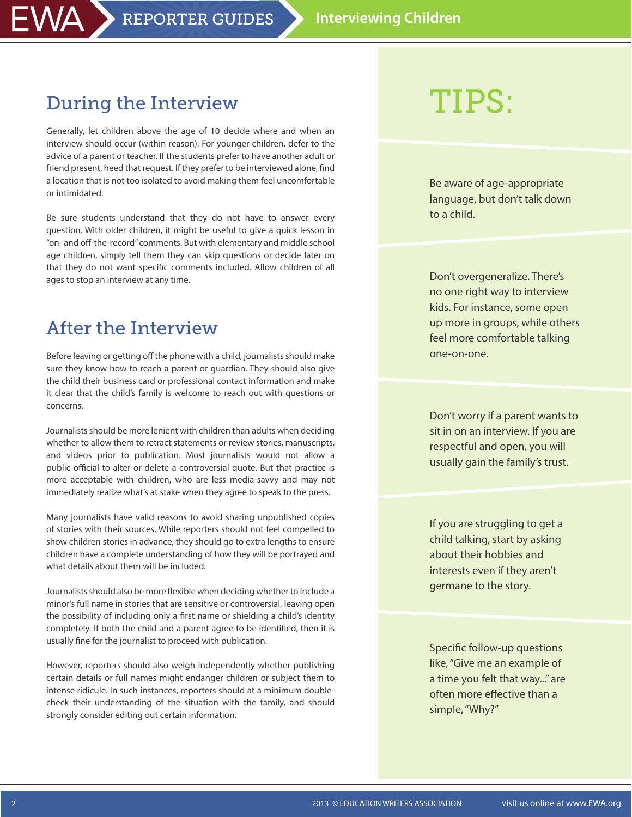#### During the Interview

VA l

Generally, let children above the age of 10 decide where and when an interview should occur (within reason). For younger children, defer to the advice of a parent or teacher. If the students prefer to have another adult or friend present, heed that request. If they prefer to be interviewed alone, find a location that is not too isolated to avoid making them feel uncomfortable or intimidated.

Be sure students understand that they do not have to answer every question. With older children, it might be useful to give a quick lesson in "on- and off-the-record" comments. But with elementary and middle school age children, simply tell them they can skip questions or decide later on that they do not want specific comments included. Allow children of all ages to stop an interview at any time.

#### After the Interview

Before leaving or getting off the phone with a child, journalists should make sure they know how to reach a parent or guardian. They should also give the child their business card or professional contact information and make it clear that the child's family is welcome to reach out with questions or concerns.

Journalists should be more lenient with children than adults when deciding whether to allow them to retract statements or review stories, manuscripts, and videos prior to publication. Most journalists would not allow a public official to alter or delete a controversial quote. But that practice is more acceptable with children, who are less media-savvy and may not immediately realize what's at stake when they agree to speak to the press.

Many journalists have valid reasons to avoid sharing unpublished copies of stories with their sources. While reporters should not feel compelled to show children stories in advance, they should go to extra lengths to ensure children have a complete understanding of how they will be portrayed and what details about them will be included.

Journalists should also be more flexible when deciding whether to include a minor's full name in stories that are sensitive or controversial, leaving open the possibility of including only a first name or shielding a child's identity completely. If both the child and a parent agree to be identified, then it is usually fine for the journalist to proceed with publication.

However, reporters should also weigh independently whether publishing certain details or full names might endanger children or subject them to intense ridicule. In such instances, reporters should at a minimum doublecheck their understanding of the situation with the family, and should strongly consider editing out certain information.

## Tips:

Be aware of age-appropriate language, but don't talk down to a child.

Don't overgeneralize. There's no one right way to interview kids. For instance, some open up more in groups, while others feel more comfortable talking one-on-one.

Don't worry if a parent wants to sit in on an interview. If you are respectful and open, you will usually gain the family's trust.

If you are struggling to get a child talking, start by asking about their hobbies and interests even if they aren't germane to the story.

Specific follow-up questions like, "Give me an example of a time you felt that way..." are often more effective than a simple, "Why?"